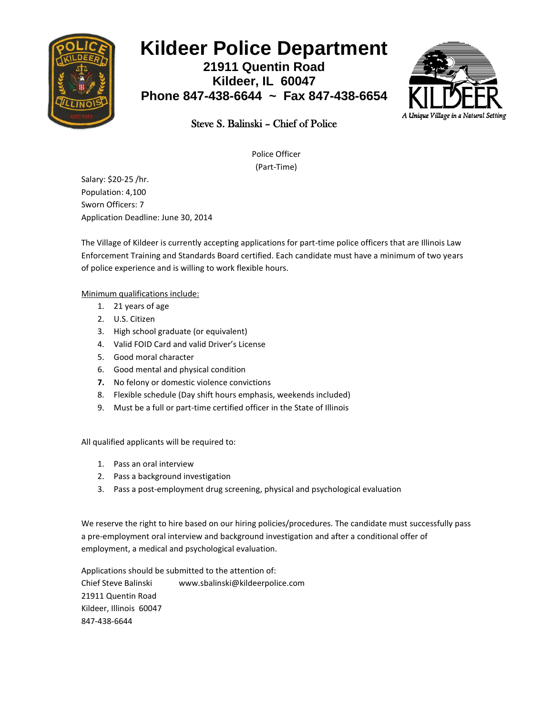

## **Kildeer Police Department**

**21911 Quentin Road Kildeer, IL 60047 Phone 847-438-6644 ~ Fax 847-438-6654**



## Steve S. Balinski – Chief of Police

Police Officer (Part-Time)

Salary: \$20-25 /hr. Population: 4,100 Sworn Officers: 7 Application Deadline: June 30, 2014

The Village of Kildeer is currently accepting applications for part-time police officers that are Illinois Law Enforcement Training and Standards Board certified. Each candidate must have a minimum of two years of police experience and is willing to work flexible hours.

Minimum qualifications include:

- 1. 21 years of age
- 2. U.S. Citizen
- 3. High school graduate (or equivalent)
- 4. Valid FOID Card and valid Driver's License
- 5. Good moral character
- 6. Good mental and physical condition
- **7.** No felony or domestic violence convictions
- 8. Flexible schedule (Day shift hours emphasis, weekends included)
- 9. Must be a full or part-time certified officer in the State of Illinois

All qualified applicants will be required to:

- 1. Pass an oral interview
- 2. Pass a background investigation
- 3. Pass a post-employment drug screening, physical and psychological evaluation

We reserve the right to hire based on our hiring policies/procedures. The candidate must successfully pass a pre-employment oral interview and background investigation and after a conditional offer of employment, a medical and psychological evaluation.

Applications should be submitted to the attention of: Chief Steve Balinski www.sbalinski@kildeerpolice.com 21911 Quentin Road Kildeer, Illinois 60047 847-438-6644